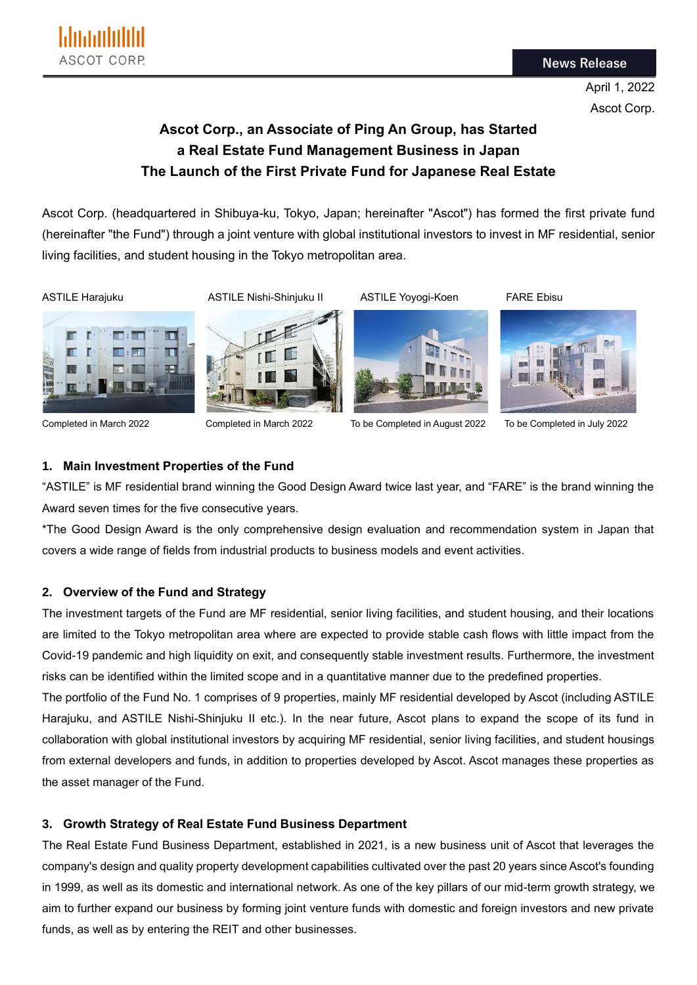April 1, 2022 Ascot Corp.

# **Ascot Corp., an Associate of Ping An Group, has Started a Real Estate Fund Management Business in Japan The Launch of the First Private Fund for Japanese Real Estate**

Ascot Corp. (headquartered in Shibuya-ku, Tokyo, Japan; hereinafter "Ascot") has formed the first private fund (hereinafter "the Fund") through a joint venture with global institutional investors to invest in MF residential, senior living facilities, and student housing in the Tokyo metropolitan area.

ASTILE Harajuku ASTILE Nishi-Shinjuku II ASTILE Yoyogi-Koen FARE Ebisu









Completed in March 2022 Completed in March 2022 To be Completed in August 2022 To be Completed in July 2022

# **1. Main Investment Properties of the Fund**

"ASTILE" is MF residential brand winning the Good Design Award twice last year, and "FARE" is the brand winning the Award seven times for the five consecutive years.

\*The Good Design Award is the only comprehensive design evaluation and recommendation system in Japan that covers a wide range of fields from industrial products to business models and event activities.

# **2. Overview of the Fund and Strategy**

The investment targets of the Fund are MF residential, senior living facilities, and student housing, and their locations are limited to the Tokyo metropolitan area where are expected to provide stable cash flows with little impact from the Covid-19 pandemic and high liquidity on exit, and consequently stable investment results. Furthermore, the investment risks can be identified within the limited scope and in a quantitative manner due to the predefined properties.

The portfolio of the Fund No. 1 comprises of 9 properties, mainly MF residential developed by Ascot (including ASTILE Harajuku, and ASTILE Nishi-Shinjuku II etc.). In the near future, Ascot plans to expand the scope of its fund in collaboration with global institutional investors by acquiring MF residential, senior living facilities, and student housings from external developers and funds, in addition to properties developed by Ascot. Ascot manages these properties as the asset manager of the Fund.

# **3. Growth Strategy of Real Estate Fund Business Department**

The Real Estate Fund Business Department, established in 2021, is a new business unit of Ascot that leverages the company's design and quality property development capabilities cultivated over the past 20 years since Ascot's founding in 1999, as well as its domestic and international network. As one of the key pillars of our mid-term growth strategy, we aim to further expand our business by forming joint venture funds with domestic and foreign investors and new private funds, as well as by entering the REIT and other businesses.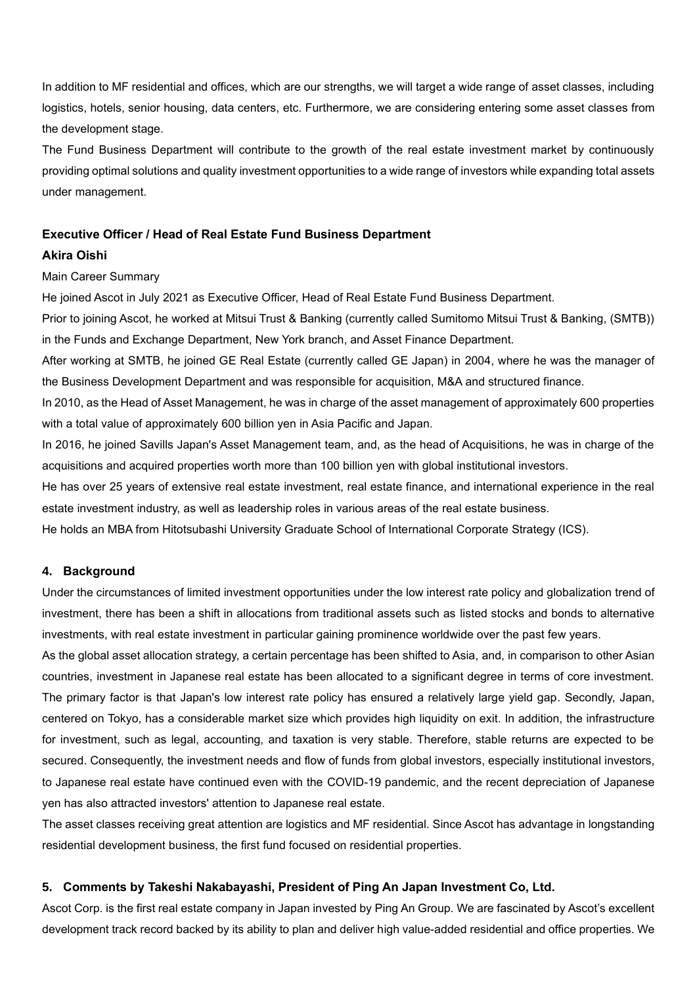In addition to MF residential and offices, which are our strengths, we will target a wide range of asset classes, including logistics, hotels, senior housing, data centers, etc. Furthermore, we are considering entering some asset classes from the development stage.

The Fund Business Department will contribute to the growth of the real estate investment market by continuously providing optimal solutions and quality investment opportunities to a wide range of investors while expanding total assets under management.

## **Executive Officer / Head of Real Estate Fund Business Department**

#### **Akira Oishi**

#### Main Career Summary

He joined Ascot in July 2021 as Executive Officer, Head of Real Estate Fund Business Department.

Prior to joining Ascot, he worked at Mitsui Trust & Banking (currently called Sumitomo Mitsui Trust & Banking, (SMTB)) in the Funds and Exchange Department, New York branch, and Asset Finance Department.

After working at SMTB, he joined GE Real Estate (currently called GE Japan) in 2004, where he was the manager of the Business Development Department and was responsible for acquisition, M&A and structured finance.

In 2010, as the Head of Asset Management, he was in charge of the asset management of approximately 600 properties with a total value of approximately 600 billion yen in Asia Pacific and Japan.

In 2016, he joined Savills Japan's Asset Management team, and, as the head of Acquisitions, he was in charge of the acquisitions and acquired properties worth more than 100 billion yen with global institutional investors.

He has over 25 years of extensive real estate investment, real estate finance, and international experience in the real estate investment industry, as well as leadership roles in various areas of the real estate business.

He holds an MBA from Hitotsubashi University Graduate School of International Corporate Strategy (ICS).

#### **4. Background**

Under the circumstances of limited investment opportunities under the low interest rate policy and globalization trend of investment, there has been a shift in allocations from traditional assets such as listed stocks and bonds to alternative investments, with real estate investment in particular gaining prominence worldwide over the past few years.

As the global asset allocation strategy, a certain percentage has been shifted to Asia, and, in comparison to other Asian countries, investment in Japanese real estate has been allocated to a significant degree in terms of core investment. The primary factor is that Japan's low interest rate policy has ensured a relatively large yield gap. Secondly, Japan, centered on Tokyo, has a considerable market size which provides high liquidity on exit. In addition, the infrastructure for investment, such as legal, accounting, and taxation is very stable. Therefore, stable returns are expected to be secured. Consequently, the investment needs and flow of funds from global investors, especially institutional investors, to Japanese real estate have continued even with the COVID-19 pandemic, and the recent depreciation of Japanese yen has also attracted investors' attention to Japanese real estate.

The asset classes receiving great attention are logistics and MF residential. Since Ascot has advantage in longstanding residential development business, the first fund focused on residential properties.

#### **5. Comments by Takeshi Nakabayashi, President of Ping An Japan Investment Co, Ltd.**

Ascot Corp. is the first real estate company in Japan invested by Ping An Group. We are fascinated by Ascot's excellent development track record backed by its ability to plan and deliver high value-added residential and office properties. We